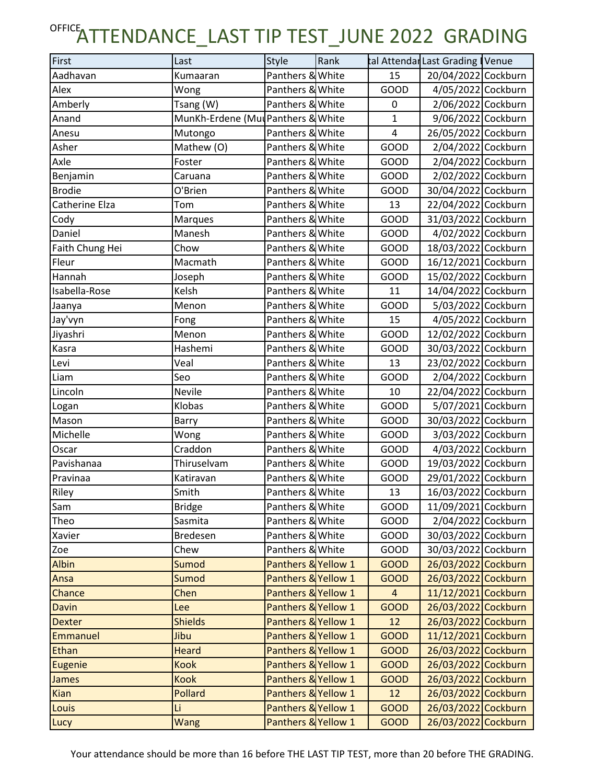| First           | Last                               | Style               | Rank |                | tal Attendar Last Grading   Venue |  |
|-----------------|------------------------------------|---------------------|------|----------------|-----------------------------------|--|
| Aadhavan        | Kumaaran                           | Panthers & White    |      | 15             | 20/04/2022 Cockburn               |  |
| Alex            | Wong                               | Panthers & White    |      | GOOD           | 4/05/2022 Cockburn                |  |
| Amberly         | Tsang (W)                          | Panthers & White    |      | 0              | 2/06/2022 Cockburn                |  |
| Anand           | MunKh-Erdene (Mul Panthers & White |                     |      | $\mathbf{1}$   | 9/06/2022 Cockburn                |  |
| Anesu           | Mutongo                            | Panthers & White    |      | $\overline{4}$ | 26/05/2022 Cockburn               |  |
| Asher           | Mathew (O)                         | Panthers & White    |      | GOOD           | 2/04/2022 Cockburn                |  |
| Axle            | Foster                             | Panthers & White    |      | GOOD           | 2/04/2022 Cockburn                |  |
| Benjamin        | Caruana                            | Panthers & White    |      | GOOD           | 2/02/2022 Cockburn                |  |
| <b>Brodie</b>   | O'Brien                            | Panthers & White    |      | GOOD           | 30/04/2022 Cockburn               |  |
| Catherine Elza  | Tom                                | Panthers & White    |      | 13             | 22/04/2022 Cockburn               |  |
| Cody            | <b>Marques</b>                     | Panthers & White    |      | GOOD           | 31/03/2022 Cockburn               |  |
| Daniel          | Manesh                             | Panthers & White    |      | GOOD           | 4/02/2022 Cockburn                |  |
| Faith Chung Hei | Chow                               | Panthers & White    |      | GOOD           | 18/03/2022 Cockburn               |  |
| Fleur           | Macmath                            | Panthers & White    |      | GOOD           | 16/12/2021 Cockburn               |  |
| Hannah          | Joseph                             | Panthers & White    |      | GOOD           | 15/02/2022 Cockburn               |  |
| Isabella-Rose   | Kelsh                              | Panthers & White    |      | 11             | 14/04/2022 Cockburn               |  |
| Jaanya          | Menon                              | Panthers & White    |      | <b>GOOD</b>    | 5/03/2022 Cockburn                |  |
| Jay'vyn         | Fong                               | Panthers & White    |      | 15             | 4/05/2022 Cockburn                |  |
| Jiyashri        | Menon                              | Panthers & White    |      | GOOD           | 12/02/2022 Cockburn               |  |
| Kasra           | Hashemi                            | Panthers & White    |      | GOOD           | 30/03/2022 Cockburn               |  |
| Levi            | Veal                               | Panthers & White    |      | 13             | 23/02/2022 Cockburn               |  |
| Liam            | Seo                                | Panthers & White    |      | GOOD           | 2/04/2022 Cockburn                |  |
| Lincoln         | Nevile                             | Panthers & White    |      | 10             | 22/04/2022 Cockburn               |  |
| Logan           | Klobas                             | Panthers & White    |      | GOOD           | 5/07/2021 Cockburn                |  |
| Mason           | Barry                              | Panthers & White    |      | GOOD           | 30/03/2022 Cockburn               |  |
| Michelle        | Wong                               | Panthers & White    |      | GOOD           | 3/03/2022 Cockburn                |  |
| Oscar           | Craddon                            | Panthers & White    |      | GOOD           | 4/03/2022 Cockburn                |  |
| Pavishanaa      | Thiruselvam                        | Panthers & White    |      | GOOD           | 19/03/2022 Cockburn               |  |
| Pravinaa        | Katiravan                          | Panthers & White    |      | GOOD           | 29/01/2022 Cockburn               |  |
| Riley           | Smith                              | Panthers & White    |      | 13             | 16/03/2022 Cockburn               |  |
| Sam             | <b>Bridge</b>                      | Panthers & White    |      | GOOD           | 11/09/2021 Cockburn               |  |
| Theo            | Sasmita                            | Panthers & White    |      | GOOD           | 2/04/2022 Cockburn                |  |
| Xavier          | <b>Bredesen</b>                    | Panthers & White    |      | GOOD           | 30/03/2022 Cockburn               |  |
| Zoe             | Chew                               | Panthers & White    |      | GOOD           | 30/03/2022 Cockburn               |  |
| <b>Albin</b>    | Sumod                              | Panthers & Yellow 1 |      | <b>GOOD</b>    | 26/03/2022 Cockburn               |  |
| Ansa            | Sumod                              | Panthers & Yellow 1 |      | <b>GOOD</b>    | 26/03/2022 Cockburn               |  |
| Chance          | Chen                               | Panthers & Yellow 1 |      | $\overline{a}$ | 11/12/2021 Cockburn               |  |
| <b>Davin</b>    | Lee                                | Panthers & Yellow 1 |      | <b>GOOD</b>    | 26/03/2022 Cockburn               |  |
| <b>Dexter</b>   | <b>Shields</b>                     | Panthers & Yellow 1 |      | 12             | 26/03/2022 Cockburn               |  |
| <b>Emmanuel</b> | Jibu                               | Panthers & Yellow 1 |      | <b>GOOD</b>    | 11/12/2021 Cockburn               |  |
| Ethan           | <b>Heard</b>                       | Panthers & Yellow 1 |      | <b>GOOD</b>    | 26/03/2022 Cockburn               |  |
| <b>Eugenie</b>  | <b>Kook</b>                        | Panthers & Yellow 1 |      | <b>GOOD</b>    | 26/03/2022 Cockburn               |  |
| <b>James</b>    | <b>Kook</b>                        | Panthers & Yellow 1 |      | <b>GOOD</b>    | 26/03/2022 Cockburn               |  |
| <b>Kian</b>     | Pollard                            | Panthers & Yellow 1 |      | 12             | 26/03/2022 Cockburn               |  |
| Louis           | Li                                 | Panthers & Yellow 1 |      | <b>GOOD</b>    | 26/03/2022 Cockburn               |  |
| Lucy            | <b>Wang</b>                        | Panthers & Yellow 1 |      | <b>GOOD</b>    | 26/03/2022 Cockburn               |  |

Your attendance should be more than 16 before THE LAST TIP TEST, more than 20 before THE GRADING.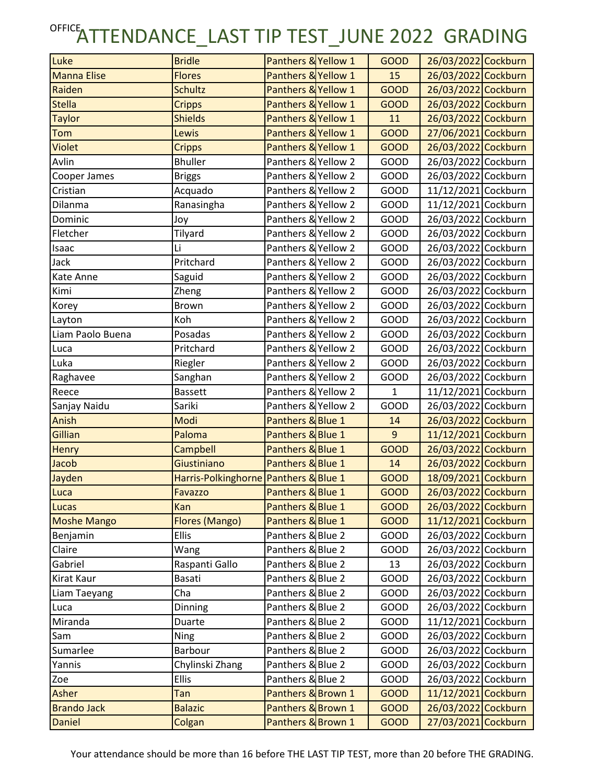| Luke               | <b>Bridle</b>                         | Panthers & Yellow 1 | <b>GOOD</b>    | 26/03/2022 Cockburn |
|--------------------|---------------------------------------|---------------------|----------------|---------------------|
| <b>Manna Elise</b> | <b>Flores</b>                         | Panthers & Yellow 1 | 15             | 26/03/2022 Cockburn |
| Raiden             | <b>Schultz</b>                        | Panthers & Yellow 1 | <b>GOOD</b>    | 26/03/2022 Cockburn |
| <b>Stella</b>      | <b>Cripps</b>                         | Panthers & Yellow 1 | <b>GOOD</b>    | 26/03/2022 Cockburn |
| <b>Taylor</b>      | <b>Shields</b>                        | Panthers & Yellow 1 | 11             | 26/03/2022 Cockburn |
| Tom                | Lewis                                 | Panthers & Yellow 1 | <b>GOOD</b>    | 27/06/2021 Cockburn |
| Violet             | <b>Cripps</b>                         | Panthers & Yellow 1 | <b>GOOD</b>    | 26/03/2022 Cockburn |
| Avlin              | <b>Bhuller</b>                        | Panthers & Yellow 2 | GOOD           | 26/03/2022 Cockburn |
| Cooper James       | <b>Briggs</b>                         | Panthers & Yellow 2 | GOOD           | 26/03/2022 Cockburn |
| Cristian           | Acquado                               | Panthers & Yellow 2 | GOOD           | 11/12/2021 Cockburn |
| Dilanma            | Ranasingha                            | Panthers & Yellow 2 | GOOD           | 11/12/2021 Cockburn |
| Dominic            | Joy                                   | Panthers & Yellow 2 | <b>GOOD</b>    | 26/03/2022 Cockburn |
| Fletcher           | Tilyard                               | Panthers & Yellow 2 | GOOD           | 26/03/2022 Cockburn |
| Isaac              | Li                                    | Panthers & Yellow 2 | GOOD           | 26/03/2022 Cockburn |
| Jack               | Pritchard                             | Panthers & Yellow 2 | GOOD           | 26/03/2022 Cockburn |
| Kate Anne          | Saguid                                | Panthers & Yellow 2 | GOOD           | 26/03/2022 Cockburn |
| Kimi               | Zheng                                 | Panthers & Yellow 2 | GOOD           | 26/03/2022 Cockburn |
| Korey              | <b>Brown</b>                          | Panthers & Yellow 2 | <b>GOOD</b>    | 26/03/2022 Cockburn |
| Layton             | Koh                                   | Panthers & Yellow 2 | <b>GOOD</b>    | 26/03/2022 Cockburn |
| Liam Paolo Buena   | Posadas                               | Panthers & Yellow 2 | GOOD           | 26/03/2022 Cockburn |
| Luca               | Pritchard                             | Panthers & Yellow 2 | GOOD           | 26/03/2022 Cockburn |
| Luka               | Riegler                               | Panthers & Yellow 2 | GOOD           | 26/03/2022 Cockburn |
| Raghavee           | Sanghan                               | Panthers & Yellow 2 | GOOD           | 26/03/2022 Cockburn |
| Reece              | <b>Bassett</b>                        | Panthers & Yellow 2 | $\mathbf{1}$   | 11/12/2021 Cockburn |
| Sanjay Naidu       | Sariki                                | Panthers & Yellow 2 | <b>GOOD</b>    | 26/03/2022 Cockburn |
| Anish              | Modi                                  | Panthers & Blue 1   | 14             | 26/03/2022 Cockburn |
| Gillian            | Paloma                                | Panthers & Blue 1   | $\overline{9}$ | 11/12/2021 Cockburn |
| <b>Henry</b>       | Campbell                              | Panthers & Blue 1   | <b>GOOD</b>    | 26/03/2022 Cockburn |
| Jacob              | Giustiniano                           | Panthers & Blue 1   | 14             | 26/03/2022 Cockburn |
| Jayden             | Harris-Polkinghorne Panthers & Blue 1 |                     | <b>GOOD</b>    | 18/09/2021 Cockburn |
| Luca               | Favazzo                               | Panthers & Blue 1   | <b>GOOD</b>    | 26/03/2022 Cockburn |
| Lucas              | Kan                                   | Panthers & Blue 1   | <b>GOOD</b>    | 26/03/2022 Cockburn |
| <b>Moshe Mango</b> | Flores (Mango)                        | Panthers & Blue 1   | <b>GOOD</b>    | 11/12/2021 Cockburn |
| Benjamin           | Ellis                                 | Panthers & Blue 2   | GOOD           | 26/03/2022 Cockburn |
| Claire             | Wang                                  | Panthers & Blue 2   | GOOD           | 26/03/2022 Cockburn |
| Gabriel            | Raspanti Gallo                        | Panthers & Blue 2   | 13             | 26/03/2022 Cockburn |
| Kirat Kaur         | Basati                                | Panthers & Blue 2   | GOOD           | 26/03/2022 Cockburn |
| Liam Taeyang       | Cha                                   | Panthers & Blue 2   | <b>GOOD</b>    | 26/03/2022 Cockburn |
| Luca               | Dinning                               | Panthers & Blue 2   | GOOD           | 26/03/2022 Cockburn |
| Miranda            | Duarte                                | Panthers & Blue 2   | GOOD           | 11/12/2021 Cockburn |
| Sam                | <b>Ning</b>                           | Panthers & Blue 2   | GOOD           | 26/03/2022 Cockburn |
| Sumarlee           | Barbour                               | Panthers & Blue 2   | GOOD           | 26/03/2022 Cockburn |
| Yannis             | Chylinski Zhang                       | Panthers & Blue 2   | GOOD           | 26/03/2022 Cockburn |
| Zoe                | Ellis                                 | Panthers & Blue 2   | GOOD           | 26/03/2022 Cockburn |
| Asher              | Tan                                   | Panthers & Brown 1  | <b>GOOD</b>    | 11/12/2021 Cockburn |
| <b>Brando Jack</b> | <b>Balazic</b>                        | Panthers & Brown 1  | <b>GOOD</b>    | 26/03/2022 Cockburn |
| Daniel             | Colgan                                | Panthers & Brown 1  | <b>GOOD</b>    | 27/03/2021 Cockburn |

Your attendance should be more than 16 before THE LAST TIP TEST, more than 20 before THE GRADING.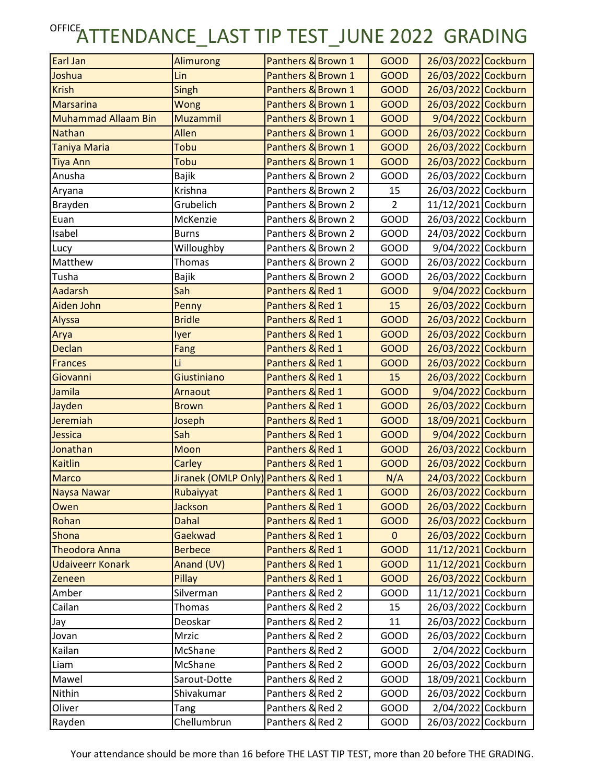| Earl Jan<br>Joshua         | <b>Alimurong</b>                     | Panthers & Brown 1<br>Panthers & Brown 1 | <b>GOOD</b>                | 26/03/2022 Cockburn                        |
|----------------------------|--------------------------------------|------------------------------------------|----------------------------|--------------------------------------------|
| <b>Krish</b>               | Lin<br>Singh                         | Panthers & Brown 1                       | <b>GOOD</b><br><b>GOOD</b> | 26/03/2022 Cockburn<br>26/03/2022 Cockburn |
| <b>Marsarina</b>           | Wong                                 | Panthers & Brown 1                       | <b>GOOD</b>                | 26/03/2022 Cockburn                        |
| <b>Muhammad Allaam Bin</b> | Muzammil                             | Panthers & Brown 1                       | <b>GOOD</b>                | 9/04/2022 Cockburn                         |
| <b>Nathan</b>              | Allen                                | Panthers & Brown 1                       |                            | 26/03/2022 Cockburn                        |
|                            |                                      |                                          | <b>GOOD</b>                |                                            |
| Taniya Maria               | Tobu                                 | Panthers & Brown 1                       | <b>GOOD</b>                | 26/03/2022 Cockburn                        |
| <b>Tiya Ann</b>            | Tobu                                 | Panthers & Brown 1                       | <b>GOOD</b>                | 26/03/2022 Cockburn                        |
| Anusha                     | <b>Bajik</b>                         | Panthers & Brown 2                       | GOOD                       | 26/03/2022 Cockburn                        |
| Aryana                     | Krishna                              | Panthers & Brown 2                       | 15                         | 26/03/2022 Cockburn                        |
| Brayden                    | Grubelich                            | Panthers & Brown 2                       | $\overline{2}$             | 11/12/2021 Cockburn                        |
| Euan                       | McKenzie                             | Panthers & Brown 2                       | GOOD                       | 26/03/2022 Cockburn                        |
| Isabel                     | <b>Burns</b>                         | Panthers & Brown 2                       | <b>GOOD</b>                | 24/03/2022 Cockburn                        |
| Lucy                       | Willoughby                           | Panthers & Brown 2                       | GOOD                       | 9/04/2022 Cockburn                         |
| Matthew                    | Thomas                               | Panthers & Brown 2                       | GOOD                       | 26/03/2022 Cockburn                        |
| Tusha                      | <b>Bajik</b>                         | Panthers & Brown 2                       | GOOD                       | 26/03/2022 Cockburn                        |
| <b>Aadarsh</b>             | Sah                                  | Panthers & Red 1                         | <b>GOOD</b>                | 9/04/2022 Cockburn                         |
| Aiden John                 | Penny                                | Panthers & Red 1                         | 15                         | 26/03/2022 Cockburn                        |
| Alyssa                     | <b>Bridle</b>                        | Panthers & Red 1                         | <b>GOOD</b>                | 26/03/2022 Cockburn                        |
| Arya                       | lyer                                 | Panthers & Red 1                         | <b>GOOD</b>                | 26/03/2022 Cockburn                        |
| Declan                     | Fang                                 | Panthers & Red 1                         | <b>GOOD</b>                | 26/03/2022 Cockburn                        |
| <b>Frances</b>             | Li                                   | Panthers & Red 1                         | <b>GOOD</b>                | 26/03/2022 Cockburn                        |
| Giovanni                   | Giustiniano                          | Panthers & Red 1                         | 15                         | 26/03/2022 Cockburn                        |
| Jamila                     | Arnaout                              | Panthers & Red 1                         | <b>GOOD</b>                | 9/04/2022 Cockburn                         |
| Jayden                     | <b>Brown</b>                         | Panthers & Red 1                         | <b>GOOD</b>                | 26/03/2022 Cockburn                        |
| Jeremiah                   | Joseph                               | Panthers & Red 1                         | <b>GOOD</b>                | 18/09/2021 Cockburn                        |
| Jessica                    | Sah                                  | Panthers & Red 1                         | <b>GOOD</b>                | 9/04/2022 Cockburn                         |
| Jonathan                   | Moon                                 | Panthers & Red 1                         | <b>GOOD</b>                | 26/03/2022 Cockburn                        |
| <b>Kaitlin</b>             | Carley                               | Panthers & Red 1                         | <b>GOOD</b>                | 26/03/2022 Cockburn                        |
| <b>Marco</b>               | Jiranek (OMLP Only) Panthers & Red 1 |                                          | N/A                        | 24/03/2022 Cockburn                        |
| Naysa Nawar                | Rubaiyyat                            | Panthers & Red 1                         | <b>GOOD</b>                | 26/03/2022 Cockburn                        |
| Owen                       | Jackson                              | Panthers & Red 1                         | <b>GOOD</b>                | 26/03/2022 Cockburn                        |
| Rohan                      | <b>Dahal</b>                         | Panthers & Red 1                         | <b>GOOD</b>                | 26/03/2022 Cockburn                        |
| Shona                      | Gaekwad                              | Panthers & Red 1                         | $\mathbf{0}$               | 26/03/2022 Cockburn                        |
| <b>Theodora Anna</b>       | <b>Berbece</b>                       | Panthers & Red 1                         | <b>GOOD</b>                | 11/12/2021 Cockburn                        |
| <b>Udaiveerr Konark</b>    | Anand (UV)                           | Panthers & Red 1                         | <b>GOOD</b>                | 11/12/2021 Cockburn                        |
| Zeneen                     | Pillay                               | Panthers & Red 1                         | <b>GOOD</b>                | 26/03/2022 Cockburn                        |
| Amber                      | Silverman                            | Panthers & Red 2                         | GOOD                       | 11/12/2021 Cockburn                        |
| Cailan                     | Thomas                               | Panthers & Red 2                         | 15                         | 26/03/2022 Cockburn                        |
| Jay                        | Deoskar                              | Panthers & Red 2                         | 11                         | 26/03/2022 Cockburn                        |
| Jovan                      | Mrzic                                | Panthers & Red 2                         | GOOD                       | 26/03/2022 Cockburn                        |
| Kailan                     | McShane                              | Panthers & Red 2                         | GOOD                       | 2/04/2022 Cockburn                         |
| Liam                       | McShane                              | Panthers & Red 2                         | GOOD                       | 26/03/2022 Cockburn                        |
| Mawel                      | Sarout-Dotte                         | Panthers & Red 2                         | GOOD                       | 18/09/2021 Cockburn                        |
| Nithin                     | Shivakumar                           | Panthers & Red 2                         | GOOD                       | 26/03/2022 Cockburn                        |
| Oliver                     |                                      | Panthers & Red 2                         | GOOD                       | 2/04/2022 Cockburn                         |
|                            | Tang<br>Chellumbrun                  |                                          |                            |                                            |
| Rayden                     |                                      | Panthers & Red 2                         | GOOD                       | 26/03/2022 Cockburn                        |

Your attendance should be more than 16 before THE LAST TIP TEST, more than 20 before THE GRADING.